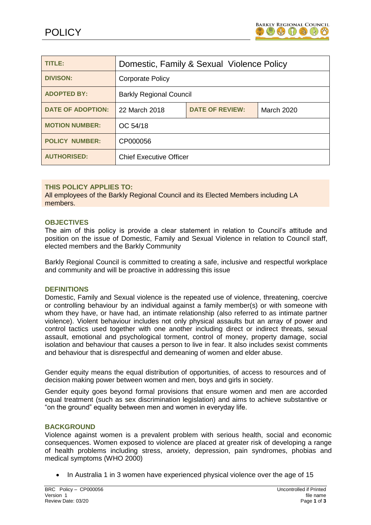

| <b>TITLE:</b>            | Domestic, Family & Sexual Violence Policy |                        |                   |
|--------------------------|-------------------------------------------|------------------------|-------------------|
| <b>DIVISON:</b>          | <b>Corporate Policy</b>                   |                        |                   |
| <b>ADOPTED BY:</b>       | <b>Barkly Regional Council</b>            |                        |                   |
| <b>DATE OF ADOPTION:</b> | 22 March 2018                             | <b>DATE OF REVIEW:</b> | <b>March 2020</b> |
| <b>MOTION NUMBER:</b>    | OC 54/18                                  |                        |                   |
| <b>POLICY NUMBER:</b>    | CP000056                                  |                        |                   |
| <b>AUTHORISED:</b>       | <b>Chief Executive Officer</b>            |                        |                   |

# **THIS POLICY APPLIES TO:**

All employees of the Barkly Regional Council and its Elected Members including LA members.

#### **OBJECTIVES**

The aim of this policy is provide a clear statement in relation to Council's attitude and position on the issue of Domestic, Family and Sexual Violence in relation to Council staff, elected members and the Barkly Community

Barkly Regional Council is committed to creating a safe, inclusive and respectful workplace and community and will be proactive in addressing this issue

#### **DEFINITIONS**

Domestic, Family and Sexual violence is the repeated use of violence, threatening, coercive or controlling behaviour by an individual against a family member(s) or with someone with whom they have, or have had, an intimate relationship (also referred to as intimate partner violence). Violent behaviour includes not only physical assaults but an array of power and control tactics used together with one another including direct or indirect threats, sexual assault, emotional and psychological torment, control of money, property damage, social isolation and behaviour that causes a person to live in fear. It also includes sexist comments and behaviour that is disrespectful and demeaning of women and elder abuse.

Gender equity means the equal distribution of opportunities, of access to resources and of decision making power between women and men, boys and girls in society.

Gender equity goes beyond formal provisions that ensure women and men are accorded equal treatment (such as sex discrimination legislation) and aims to achieve substantive or "on the ground" equality between men and women in everyday life.

#### **BACKGROUND**

Violence against women is a prevalent problem with serious health, social and economic consequences. Women exposed to violence are placed at greater risk of developing a range of health problems including stress, anxiety, depression, pain syndromes, phobias and medical symptoms (WHO 2000)

In Australia 1 in 3 women have experienced physical violence over the age of 15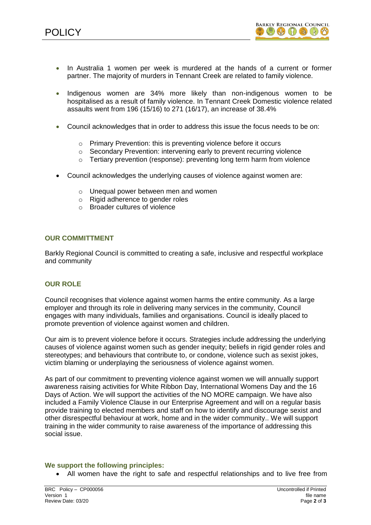

- In Australia 1 women per week is murdered at the hands of a current or former partner. The majority of murders in Tennant Creek are related to family violence.
- Indigenous women are 34% more likely than non-indigenous women to be hospitalised as a result of family violence. In Tennant Creek Domestic violence related assaults went from 196 (15/16) to 271 (16/17), an increase of 38.4%
- Council acknowledges that in order to address this issue the focus needs to be on:
	- o Primary Prevention: this is preventing violence before it occurs
	- o Secondary Prevention: intervening early to prevent recurring violence
	- o Tertiary prevention (response): preventing long term harm from violence
- Council acknowledges the underlying causes of violence against women are:
	- o Unequal power between men and women
	- o Rigid adherence to gender roles
	- o Broader cultures of violence

## **OUR COMMITTMENT**

Barkly Regional Council is committed to creating a safe, inclusive and respectful workplace and community

## **OUR ROLE**

Council recognises that violence against women harms the entire community. As a large employer and through its role in delivering many services in the community, Council engages with many individuals, families and organisations. Council is ideally placed to promote prevention of violence against women and children.

Our aim is to prevent violence before it occurs. Strategies include addressing the underlying causes of violence against women such as gender inequity; beliefs in rigid gender roles and stereotypes; and behaviours that contribute to, or condone, violence such as sexist jokes, victim blaming or underplaying the seriousness of violence against women.

As part of our commitment to preventing violence against women we will annually support awareness raising activities for White Ribbon Day, International Womens Day and the 16 Days of Action. We will support the activities of the NO MORE campaign. We have also included a Family Violence Clause in our Enterprise Agreement and will on a regular basis provide training to elected members and staff on how to identify and discourage sexist and other disrespectful behaviour at work, home and in the wider community.. We will support training in the wider community to raise awareness of the importance of addressing this social issue.

## **We support the following principles:**

All women have the right to safe and respectful relationships and to live free from